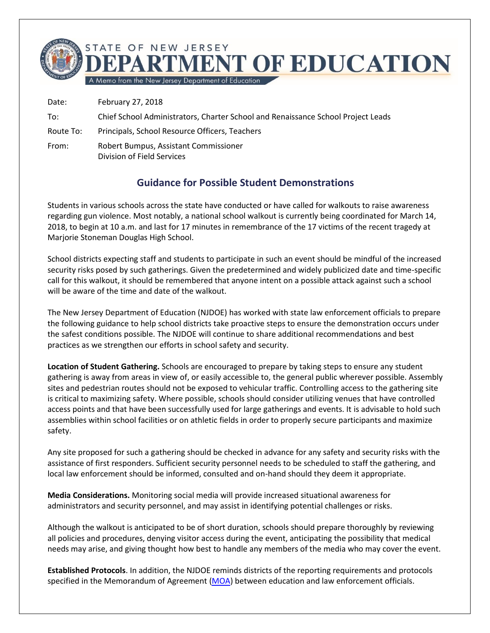

Date: February 27, 2018

- To: Chief School Administrators, Charter School and Renaissance School Project Leads
- Route To: Principals, School Resource Officers, Teachers
- From: Robert Bumpus, Assistant Commissioner Division of Field Services

## **Guidance for Possible Student Demonstrations**

Students in various schools across the state have conducted or have called for walkouts to raise awareness regarding gun violence. Most notably, a national school walkout is currently being coordinated for March 14, 2018, to begin at 10 a.m. and last for 17 minutes in remembrance of the 17 victims of the recent tragedy at Marjorie Stoneman Douglas High School.

School districts expecting staff and students to participate in such an event should be mindful of the increased security risks posed by such gatherings. Given the predetermined and widely publicized date and time-specific call for this walkout, it should be remembered that anyone intent on a possible attack against such a school will be aware of the time and date of the walkout.

The New Jersey Department of Education (NJDOE) has worked with state law enforcement officials to prepare the following guidance to help school districts take proactive steps to ensure the demonstration occurs under the safest conditions possible. The NJDOE will continue to share additional recommendations and best practices as we strengthen our efforts in school safety and security.

**Location of Student Gathering.** Schools are encouraged to prepare by taking steps to ensure any student gathering is away from areas in view of, or easily accessible to, the general public wherever possible. Assembly sites and pedestrian routes should not be exposed to vehicular traffic. Controlling access to the gathering site is critical to maximizing safety. Where possible, schools should consider utilizing venues that have controlled access points and that have been successfully used for large gatherings and events. It is advisable to hold such assemblies within school facilities or on athletic fields in order to properly secure participants and maximize safety.

Any site proposed for such a gathering should be checked in advance for any safety and security risks with the assistance of first responders. Sufficient security personnel needs to be scheduled to staff the gathering, and local law enforcement should be informed, consulted and on-hand should they deem it appropriate.

**Media Considerations.** Monitoring social media will provide increased situational awareness for administrators and security personnel, and may assist in identifying potential challenges or risks.

Although the walkout is anticipated to be of short duration, schools should prepare thoroughly by reviewing all policies and procedures, denying visitor access during the event, anticipating the possibility that medical needs may arise, and giving thought how best to handle any members of the media who may cover the event.

**Established Protocols**. In addition, the NJDOE reminds districts of the reporting requirements and protocols specified in the Memorandum of Agreement [\(MOA\)](http://www.state.nj.us/education/schools/security/regs/agree.pdf) between education and law enforcement officials.